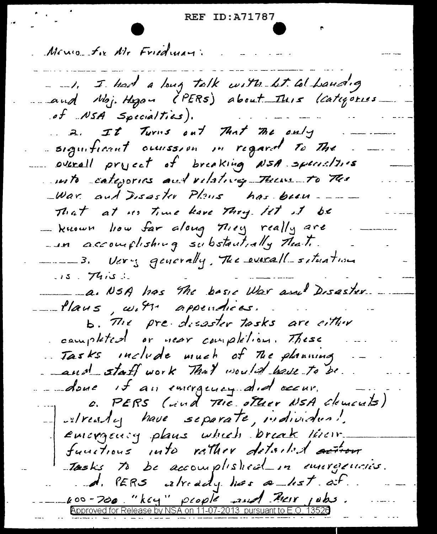**REF ID:A71787** 

Monroe for Mr Friedman: - - 1. I had a long talk with bit Col banding and Noj. Hogan (PERS) about This leatigoines of NSA Specialties). 2. It Turns out That The only significant ourseron in regard to The werell pryect of breaking NSA specialists unto categories and vilating Them to The War and Disaster Plans has been. That at us True have They let it be - known how far along neally are - in accomplishing substantially that. -----3. Very generally, The everall situation 15 This a. NSA has the basic War and Disaster. ---- llaus, with appendices. b. The pre-disaster tasks are either completed or near completion. These Tasks include much of The planning and staff work That would have to be. -- done it an emergency did occur. c. PERS (and The other NSA clements) - elready have separate, individual. emorgency plans which break their functions into rather detailed action Josks to be accomplished in emergencies. d. PERS already has a list af.  $\mu$  og - 700. "kcy" prople and Preir jobs.